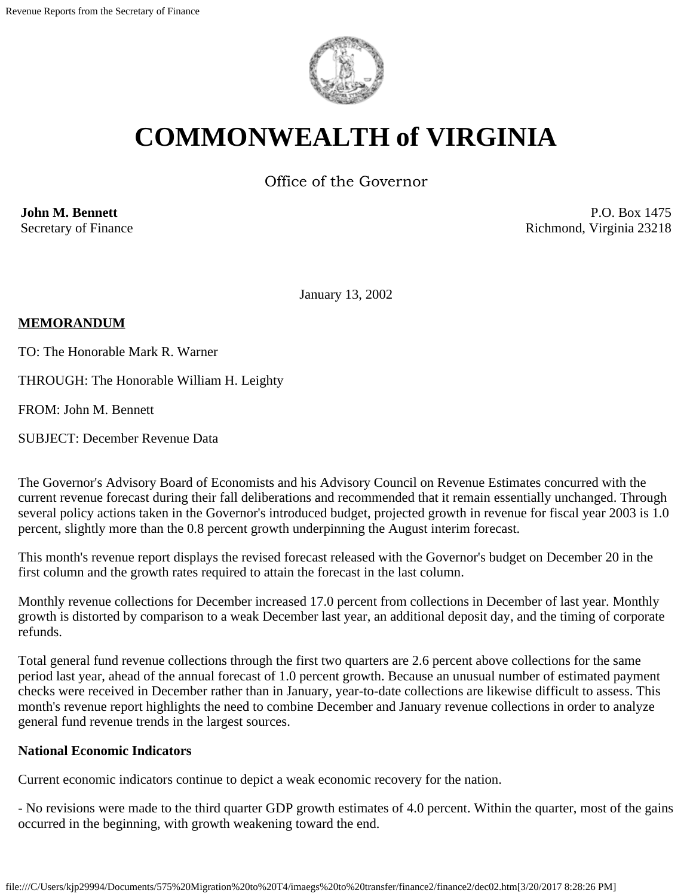

# **COMMONWEALTH of VIRGINIA**

Office of the Governor

**John M. Bennett** Secretary of Finance

P.O. Box 1475 Richmond, Virginia 23218

January 13, 2002

#### **MEMORANDUM**

TO: The Honorable Mark R. Warner

THROUGH: The Honorable William H. Leighty

FROM: John M. Bennett

SUBJECT: December Revenue Data

The Governor's Advisory Board of Economists and his Advisory Council on Revenue Estimates concurred with the current revenue forecast during their fall deliberations and recommended that it remain essentially unchanged. Through several policy actions taken in the Governor's introduced budget, projected growth in revenue for fiscal year 2003 is 1.0 percent, slightly more than the 0.8 percent growth underpinning the August interim forecast.

This month's revenue report displays the revised forecast released with the Governor's budget on December 20 in the first column and the growth rates required to attain the forecast in the last column.

Monthly revenue collections for December increased 17.0 percent from collections in December of last year. Monthly growth is distorted by comparison to a weak December last year, an additional deposit day, and the timing of corporate refunds.

Total general fund revenue collections through the first two quarters are 2.6 percent above collections for the same period last year, ahead of the annual forecast of 1.0 percent growth. Because an unusual number of estimated payment checks were received in December rather than in January, year-to-date collections are likewise difficult to assess. This month's revenue report highlights the need to combine December and January revenue collections in order to analyze general fund revenue trends in the largest sources.

#### **National Economic Indicators**

Current economic indicators continue to depict a weak economic recovery for the nation.

- No revisions were made to the third quarter GDP growth estimates of 4.0 percent. Within the quarter, most of the gains occurred in the beginning, with growth weakening toward the end.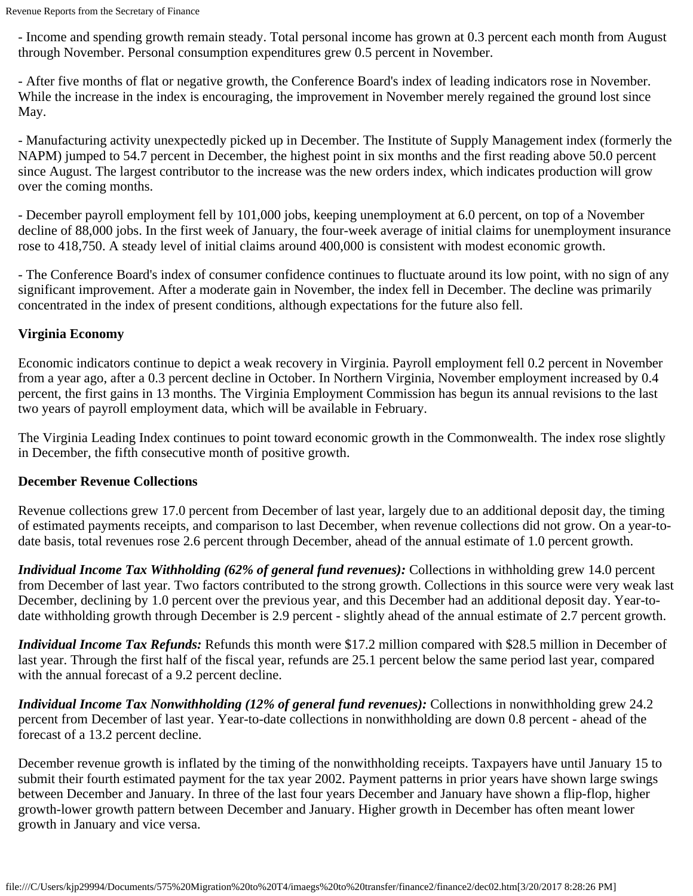- Income and spending growth remain steady. Total personal income has grown at 0.3 percent each month from August through November. Personal consumption expenditures grew 0.5 percent in November.

- After five months of flat or negative growth, the Conference Board's index of leading indicators rose in November. While the increase in the index is encouraging, the improvement in November merely regained the ground lost since May.

- Manufacturing activity unexpectedly picked up in December. The Institute of Supply Management index (formerly the NAPM) jumped to 54.7 percent in December, the highest point in six months and the first reading above 50.0 percent since August. The largest contributor to the increase was the new orders index, which indicates production will grow over the coming months.

- December payroll employment fell by 101,000 jobs, keeping unemployment at 6.0 percent, on top of a November decline of 88,000 jobs. In the first week of January, the four-week average of initial claims for unemployment insurance rose to 418,750. A steady level of initial claims around 400,000 is consistent with modest economic growth.

- The Conference Board's index of consumer confidence continues to fluctuate around its low point, with no sign of any significant improvement. After a moderate gain in November, the index fell in December. The decline was primarily concentrated in the index of present conditions, although expectations for the future also fell.

## **Virginia Economy**

Economic indicators continue to depict a weak recovery in Virginia. Payroll employment fell 0.2 percent in November from a year ago, after a 0.3 percent decline in October. In Northern Virginia, November employment increased by 0.4 percent, the first gains in 13 months. The Virginia Employment Commission has begun its annual revisions to the last two years of payroll employment data, which will be available in February.

The Virginia Leading Index continues to point toward economic growth in the Commonwealth. The index rose slightly in December, the fifth consecutive month of positive growth.

## **December Revenue Collections**

Revenue collections grew 17.0 percent from December of last year, largely due to an additional deposit day, the timing of estimated payments receipts, and comparison to last December, when revenue collections did not grow. On a year-todate basis, total revenues rose 2.6 percent through December, ahead of the annual estimate of 1.0 percent growth.

*Individual Income Tax Withholding (62% of general fund revenues):* Collections in withholding grew 14.0 percent from December of last year. Two factors contributed to the strong growth. Collections in this source were very weak last December, declining by 1.0 percent over the previous year, and this December had an additional deposit day. Year-todate withholding growth through December is 2.9 percent - slightly ahead of the annual estimate of 2.7 percent growth.

*Individual Income Tax Refunds:* Refunds this month were \$17.2 million compared with \$28.5 million in December of last year. Through the first half of the fiscal year, refunds are 25.1 percent below the same period last year, compared with the annual forecast of a 9.2 percent decline.

*Individual Income Tax Nonwithholding (12% of general fund revenues):* Collections in nonwithholding grew 24.2 percent from December of last year. Year-to-date collections in nonwithholding are down 0.8 percent - ahead of the forecast of a 13.2 percent decline.

December revenue growth is inflated by the timing of the nonwithholding receipts. Taxpayers have until January 15 to submit their fourth estimated payment for the tax year 2002. Payment patterns in prior years have shown large swings between December and January. In three of the last four years December and January have shown a flip-flop, higher growth-lower growth pattern between December and January. Higher growth in December has often meant lower growth in January and vice versa.